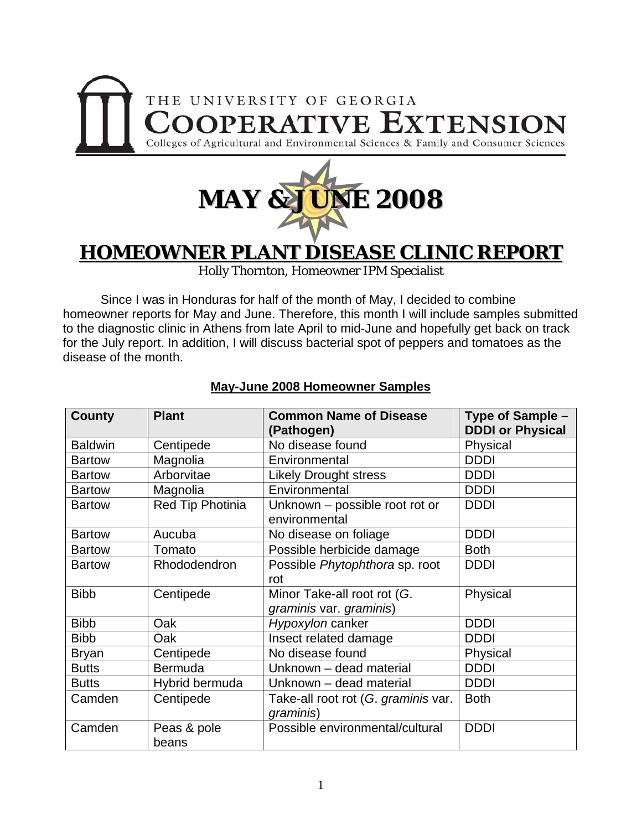



# **HOMEOWNER PLANT DISEASE CLINIC REPORT**

Holly Thornton, Homeowner IPM Specialist

 Since I was in Honduras for half of the month of May, I decided to combine homeowner reports for May and June. Therefore, this month I will include samples submitted to the diagnostic clinic in Athens from late April to mid-June and hopefully get back on track for the July report. In addition, I will discuss bacterial spot of peppers and tomatoes as the disease of the month.

| County         | <b>Plant</b>     | <b>Common Name of Disease</b>       | Type of Sample -        |
|----------------|------------------|-------------------------------------|-------------------------|
|                |                  | (Pathogen)                          | <b>DDDI or Physical</b> |
| <b>Baldwin</b> | Centipede        | No disease found                    | Physical                |
| <b>Bartow</b>  | Magnolia         | Environmental                       | <b>DDDI</b>             |
| <b>Bartow</b>  | Arborvitae       | <b>Likely Drought stress</b>        | <b>DDDI</b>             |
| <b>Bartow</b>  | Magnolia         | Environmental                       | <b>DDDI</b>             |
| <b>Bartow</b>  | Red Tip Photinia | Unknown - possible root rot or      | <b>DDDI</b>             |
|                |                  | environmental                       |                         |
| <b>Bartow</b>  | Aucuba           | No disease on foliage               | <b>DDDI</b>             |
| <b>Bartow</b>  | Tomato           | Possible herbicide damage           | <b>Both</b>             |
| <b>Bartow</b>  | Rhododendron     | Possible Phytophthora sp. root      | <b>DDDI</b>             |
|                |                  | rot                                 |                         |
| <b>Bibb</b>    | Centipede        | Minor Take-all root rot (G.         | Physical                |
|                |                  | graminis var. graminis)             |                         |
| <b>Bibb</b>    | Oak              | Hypoxylon canker                    | <b>DDDI</b>             |
| <b>Bibb</b>    | Oak              | Insect related damage               | <b>DDDI</b>             |
| <b>Bryan</b>   | Centipede        | No disease found                    | Physical                |
| <b>Butts</b>   | Bermuda          | Unknown - dead material             | <b>DDDI</b>             |
| <b>Butts</b>   | Hybrid bermuda   | Unknown - dead material             | <b>DDDI</b>             |
| Camden         | Centipede        | Take-all root rot (G. graminis var. | <b>Both</b>             |
|                |                  | graminis)                           |                         |
| Camden         | Peas & pole      | Possible environmental/cultural     | <b>DDDI</b>             |
|                | beans            |                                     |                         |

### **May-June 2008 Homeowner Samples**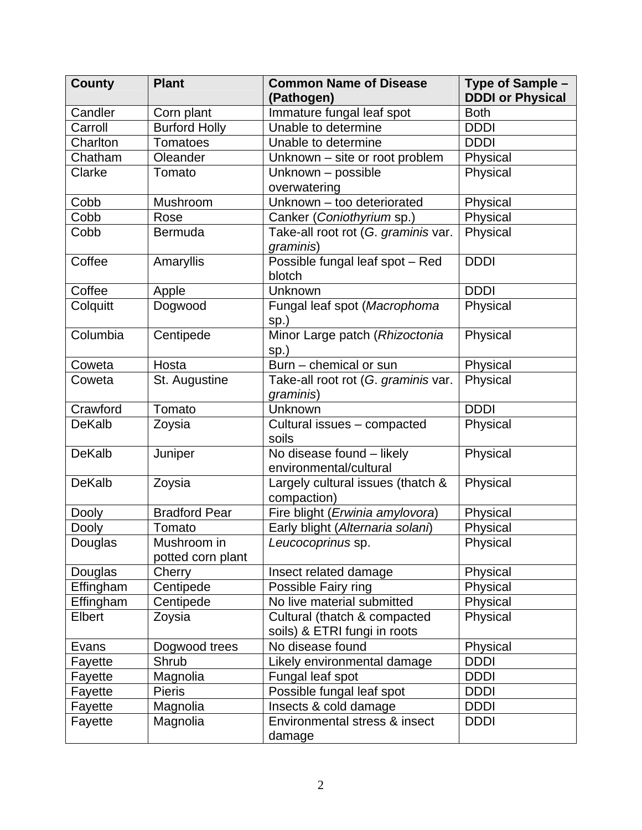| Candler<br>Corn plant<br>Immature fungal leaf spot<br><b>Both</b><br><b>Burford Holly</b><br>Unable to determine<br><b>DDDI</b><br>Carroll<br><b>DDDI</b><br>Charlton<br><b>Tomatoes</b><br>Unable to determine<br>Oleander<br>Chatham<br>Unknown - site or root problem<br>Physical<br>Unknown - possible<br>Physical<br>Clarke<br>Tomato<br>overwatering<br>Mushroom<br>Unknown - too deteriorated<br>Cobb<br>Physical<br>Cobb<br>Canker (Coniothyrium sp.)<br>Physical<br>Rose<br>Bermuda<br>Take-all root rot (G. graminis var.<br>Physical<br>Cobb<br>graminis)<br><b>DDDI</b><br>Possible fungal leaf spot - Red<br>Coffee<br>Amaryllis<br>blotch<br><b>DDDI</b><br>Coffee<br>Unknown<br>Apple<br>Fungal leaf spot (Macrophoma<br>Colquitt<br>Physical<br>Dogwood<br>sp.)<br>Columbia<br>Minor Large patch (Rhizoctonia<br>Centipede<br>Physical<br>$sp.$ )<br>Burn - chemical or sun<br>Coweta<br>Hosta<br>Physical<br>St. Augustine<br>Take-all root rot (G. graminis var.<br>Physical<br>Coweta<br>graminis)<br><b>DDDI</b><br>Crawford<br>Unknown<br>Tomato<br><b>DeKalb</b><br>Zoysia<br>Cultural issues - compacted<br>Physical<br>soils<br>$\overline{No}$ disease found $-$ likely<br><b>DeKalb</b><br>Physical<br>Juniper<br>environmental/cultural<br><b>DeKalb</b><br>Largely cultural issues (thatch &<br>Physical<br>Zoysia<br>compaction)<br><b>Bradford Pear</b><br>Fire blight (Erwinia amylovora)<br>Physical<br><b>Dooly</b><br>Tomato<br>Early blight (Alternaria solani)<br>Physical<br>Dooly<br>Douglas<br>Physical<br>Mushroom in<br>Leucocoprinus sp.<br>potted corn plant<br>Physical<br>Douglas<br>Insect related damage<br>Cherry<br>Centipede<br>Effingham<br>Possible Fairy ring<br>Physical<br>Effingham<br>Centipede<br>No live material submitted<br>Physical<br>Elbert<br>Physical<br>Zoysia<br>Cultural (thatch & compacted<br>soils) & ETRI fungi in roots<br>Physical<br>Dogwood trees<br>No disease found<br>Evans<br>Shrub<br><b>DDDI</b><br>Likely environmental damage<br>Fayette<br>Magnolia<br>Fungal leaf spot<br><b>DDDI</b><br>Fayette<br><b>Pieris</b><br>Possible fungal leaf spot<br>Fayette<br><b>DDDI</b><br>Fayette<br>Magnolia<br>Insects & cold damage<br><b>DDDI</b><br>Environmental stress & insect<br><b>DDDI</b><br>Fayette<br>Magnolia | <b>County</b> | <b>Plant</b> | <b>Common Name of Disease</b><br>(Pathogen) | Type of Sample -<br><b>DDDI or Physical</b> |
|--------------------------------------------------------------------------------------------------------------------------------------------------------------------------------------------------------------------------------------------------------------------------------------------------------------------------------------------------------------------------------------------------------------------------------------------------------------------------------------------------------------------------------------------------------------------------------------------------------------------------------------------------------------------------------------------------------------------------------------------------------------------------------------------------------------------------------------------------------------------------------------------------------------------------------------------------------------------------------------------------------------------------------------------------------------------------------------------------------------------------------------------------------------------------------------------------------------------------------------------------------------------------------------------------------------------------------------------------------------------------------------------------------------------------------------------------------------------------------------------------------------------------------------------------------------------------------------------------------------------------------------------------------------------------------------------------------------------------------------------------------------------------------------------------------------------------------------------------------------------------------------------------------------------------------------------------------------------------------------------------------------------------------------------------------------------------------------------------------------------------------------------------------------------------------------------------------------------------------------------------------------------------------------------------------|---------------|--------------|---------------------------------------------|---------------------------------------------|
|                                                                                                                                                                                                                                                                                                                                                                                                                                                                                                                                                                                                                                                                                                                                                                                                                                                                                                                                                                                                                                                                                                                                                                                                                                                                                                                                                                                                                                                                                                                                                                                                                                                                                                                                                                                                                                                                                                                                                                                                                                                                                                                                                                                                                                                                                                        |               |              |                                             |                                             |
|                                                                                                                                                                                                                                                                                                                                                                                                                                                                                                                                                                                                                                                                                                                                                                                                                                                                                                                                                                                                                                                                                                                                                                                                                                                                                                                                                                                                                                                                                                                                                                                                                                                                                                                                                                                                                                                                                                                                                                                                                                                                                                                                                                                                                                                                                                        |               |              |                                             |                                             |
|                                                                                                                                                                                                                                                                                                                                                                                                                                                                                                                                                                                                                                                                                                                                                                                                                                                                                                                                                                                                                                                                                                                                                                                                                                                                                                                                                                                                                                                                                                                                                                                                                                                                                                                                                                                                                                                                                                                                                                                                                                                                                                                                                                                                                                                                                                        |               |              |                                             |                                             |
|                                                                                                                                                                                                                                                                                                                                                                                                                                                                                                                                                                                                                                                                                                                                                                                                                                                                                                                                                                                                                                                                                                                                                                                                                                                                                                                                                                                                                                                                                                                                                                                                                                                                                                                                                                                                                                                                                                                                                                                                                                                                                                                                                                                                                                                                                                        |               |              |                                             |                                             |
|                                                                                                                                                                                                                                                                                                                                                                                                                                                                                                                                                                                                                                                                                                                                                                                                                                                                                                                                                                                                                                                                                                                                                                                                                                                                                                                                                                                                                                                                                                                                                                                                                                                                                                                                                                                                                                                                                                                                                                                                                                                                                                                                                                                                                                                                                                        |               |              |                                             |                                             |
|                                                                                                                                                                                                                                                                                                                                                                                                                                                                                                                                                                                                                                                                                                                                                                                                                                                                                                                                                                                                                                                                                                                                                                                                                                                                                                                                                                                                                                                                                                                                                                                                                                                                                                                                                                                                                                                                                                                                                                                                                                                                                                                                                                                                                                                                                                        |               |              |                                             |                                             |
|                                                                                                                                                                                                                                                                                                                                                                                                                                                                                                                                                                                                                                                                                                                                                                                                                                                                                                                                                                                                                                                                                                                                                                                                                                                                                                                                                                                                                                                                                                                                                                                                                                                                                                                                                                                                                                                                                                                                                                                                                                                                                                                                                                                                                                                                                                        |               |              |                                             |                                             |
|                                                                                                                                                                                                                                                                                                                                                                                                                                                                                                                                                                                                                                                                                                                                                                                                                                                                                                                                                                                                                                                                                                                                                                                                                                                                                                                                                                                                                                                                                                                                                                                                                                                                                                                                                                                                                                                                                                                                                                                                                                                                                                                                                                                                                                                                                                        |               |              |                                             |                                             |
|                                                                                                                                                                                                                                                                                                                                                                                                                                                                                                                                                                                                                                                                                                                                                                                                                                                                                                                                                                                                                                                                                                                                                                                                                                                                                                                                                                                                                                                                                                                                                                                                                                                                                                                                                                                                                                                                                                                                                                                                                                                                                                                                                                                                                                                                                                        |               |              |                                             |                                             |
|                                                                                                                                                                                                                                                                                                                                                                                                                                                                                                                                                                                                                                                                                                                                                                                                                                                                                                                                                                                                                                                                                                                                                                                                                                                                                                                                                                                                                                                                                                                                                                                                                                                                                                                                                                                                                                                                                                                                                                                                                                                                                                                                                                                                                                                                                                        |               |              |                                             |                                             |
|                                                                                                                                                                                                                                                                                                                                                                                                                                                                                                                                                                                                                                                                                                                                                                                                                                                                                                                                                                                                                                                                                                                                                                                                                                                                                                                                                                                                                                                                                                                                                                                                                                                                                                                                                                                                                                                                                                                                                                                                                                                                                                                                                                                                                                                                                                        |               |              |                                             |                                             |
|                                                                                                                                                                                                                                                                                                                                                                                                                                                                                                                                                                                                                                                                                                                                                                                                                                                                                                                                                                                                                                                                                                                                                                                                                                                                                                                                                                                                                                                                                                                                                                                                                                                                                                                                                                                                                                                                                                                                                                                                                                                                                                                                                                                                                                                                                                        |               |              |                                             |                                             |
|                                                                                                                                                                                                                                                                                                                                                                                                                                                                                                                                                                                                                                                                                                                                                                                                                                                                                                                                                                                                                                                                                                                                                                                                                                                                                                                                                                                                                                                                                                                                                                                                                                                                                                                                                                                                                                                                                                                                                                                                                                                                                                                                                                                                                                                                                                        |               |              |                                             |                                             |
|                                                                                                                                                                                                                                                                                                                                                                                                                                                                                                                                                                                                                                                                                                                                                                                                                                                                                                                                                                                                                                                                                                                                                                                                                                                                                                                                                                                                                                                                                                                                                                                                                                                                                                                                                                                                                                                                                                                                                                                                                                                                                                                                                                                                                                                                                                        |               |              |                                             |                                             |
|                                                                                                                                                                                                                                                                                                                                                                                                                                                                                                                                                                                                                                                                                                                                                                                                                                                                                                                                                                                                                                                                                                                                                                                                                                                                                                                                                                                                                                                                                                                                                                                                                                                                                                                                                                                                                                                                                                                                                                                                                                                                                                                                                                                                                                                                                                        |               |              |                                             |                                             |
|                                                                                                                                                                                                                                                                                                                                                                                                                                                                                                                                                                                                                                                                                                                                                                                                                                                                                                                                                                                                                                                                                                                                                                                                                                                                                                                                                                                                                                                                                                                                                                                                                                                                                                                                                                                                                                                                                                                                                                                                                                                                                                                                                                                                                                                                                                        |               |              |                                             |                                             |
|                                                                                                                                                                                                                                                                                                                                                                                                                                                                                                                                                                                                                                                                                                                                                                                                                                                                                                                                                                                                                                                                                                                                                                                                                                                                                                                                                                                                                                                                                                                                                                                                                                                                                                                                                                                                                                                                                                                                                                                                                                                                                                                                                                                                                                                                                                        |               |              |                                             |                                             |
|                                                                                                                                                                                                                                                                                                                                                                                                                                                                                                                                                                                                                                                                                                                                                                                                                                                                                                                                                                                                                                                                                                                                                                                                                                                                                                                                                                                                                                                                                                                                                                                                                                                                                                                                                                                                                                                                                                                                                                                                                                                                                                                                                                                                                                                                                                        |               |              |                                             |                                             |
|                                                                                                                                                                                                                                                                                                                                                                                                                                                                                                                                                                                                                                                                                                                                                                                                                                                                                                                                                                                                                                                                                                                                                                                                                                                                                                                                                                                                                                                                                                                                                                                                                                                                                                                                                                                                                                                                                                                                                                                                                                                                                                                                                                                                                                                                                                        |               |              |                                             |                                             |
|                                                                                                                                                                                                                                                                                                                                                                                                                                                                                                                                                                                                                                                                                                                                                                                                                                                                                                                                                                                                                                                                                                                                                                                                                                                                                                                                                                                                                                                                                                                                                                                                                                                                                                                                                                                                                                                                                                                                                                                                                                                                                                                                                                                                                                                                                                        |               |              |                                             |                                             |
|                                                                                                                                                                                                                                                                                                                                                                                                                                                                                                                                                                                                                                                                                                                                                                                                                                                                                                                                                                                                                                                                                                                                                                                                                                                                                                                                                                                                                                                                                                                                                                                                                                                                                                                                                                                                                                                                                                                                                                                                                                                                                                                                                                                                                                                                                                        |               |              |                                             |                                             |
|                                                                                                                                                                                                                                                                                                                                                                                                                                                                                                                                                                                                                                                                                                                                                                                                                                                                                                                                                                                                                                                                                                                                                                                                                                                                                                                                                                                                                                                                                                                                                                                                                                                                                                                                                                                                                                                                                                                                                                                                                                                                                                                                                                                                                                                                                                        |               |              |                                             |                                             |
|                                                                                                                                                                                                                                                                                                                                                                                                                                                                                                                                                                                                                                                                                                                                                                                                                                                                                                                                                                                                                                                                                                                                                                                                                                                                                                                                                                                                                                                                                                                                                                                                                                                                                                                                                                                                                                                                                                                                                                                                                                                                                                                                                                                                                                                                                                        |               |              |                                             |                                             |
|                                                                                                                                                                                                                                                                                                                                                                                                                                                                                                                                                                                                                                                                                                                                                                                                                                                                                                                                                                                                                                                                                                                                                                                                                                                                                                                                                                                                                                                                                                                                                                                                                                                                                                                                                                                                                                                                                                                                                                                                                                                                                                                                                                                                                                                                                                        |               |              |                                             |                                             |
|                                                                                                                                                                                                                                                                                                                                                                                                                                                                                                                                                                                                                                                                                                                                                                                                                                                                                                                                                                                                                                                                                                                                                                                                                                                                                                                                                                                                                                                                                                                                                                                                                                                                                                                                                                                                                                                                                                                                                                                                                                                                                                                                                                                                                                                                                                        |               |              |                                             |                                             |
|                                                                                                                                                                                                                                                                                                                                                                                                                                                                                                                                                                                                                                                                                                                                                                                                                                                                                                                                                                                                                                                                                                                                                                                                                                                                                                                                                                                                                                                                                                                                                                                                                                                                                                                                                                                                                                                                                                                                                                                                                                                                                                                                                                                                                                                                                                        |               |              |                                             |                                             |
|                                                                                                                                                                                                                                                                                                                                                                                                                                                                                                                                                                                                                                                                                                                                                                                                                                                                                                                                                                                                                                                                                                                                                                                                                                                                                                                                                                                                                                                                                                                                                                                                                                                                                                                                                                                                                                                                                                                                                                                                                                                                                                                                                                                                                                                                                                        |               |              |                                             |                                             |
|                                                                                                                                                                                                                                                                                                                                                                                                                                                                                                                                                                                                                                                                                                                                                                                                                                                                                                                                                                                                                                                                                                                                                                                                                                                                                                                                                                                                                                                                                                                                                                                                                                                                                                                                                                                                                                                                                                                                                                                                                                                                                                                                                                                                                                                                                                        |               |              |                                             |                                             |
|                                                                                                                                                                                                                                                                                                                                                                                                                                                                                                                                                                                                                                                                                                                                                                                                                                                                                                                                                                                                                                                                                                                                                                                                                                                                                                                                                                                                                                                                                                                                                                                                                                                                                                                                                                                                                                                                                                                                                                                                                                                                                                                                                                                                                                                                                                        |               |              |                                             |                                             |
|                                                                                                                                                                                                                                                                                                                                                                                                                                                                                                                                                                                                                                                                                                                                                                                                                                                                                                                                                                                                                                                                                                                                                                                                                                                                                                                                                                                                                                                                                                                                                                                                                                                                                                                                                                                                                                                                                                                                                                                                                                                                                                                                                                                                                                                                                                        |               |              |                                             |                                             |
|                                                                                                                                                                                                                                                                                                                                                                                                                                                                                                                                                                                                                                                                                                                                                                                                                                                                                                                                                                                                                                                                                                                                                                                                                                                                                                                                                                                                                                                                                                                                                                                                                                                                                                                                                                                                                                                                                                                                                                                                                                                                                                                                                                                                                                                                                                        |               |              |                                             |                                             |
|                                                                                                                                                                                                                                                                                                                                                                                                                                                                                                                                                                                                                                                                                                                                                                                                                                                                                                                                                                                                                                                                                                                                                                                                                                                                                                                                                                                                                                                                                                                                                                                                                                                                                                                                                                                                                                                                                                                                                                                                                                                                                                                                                                                                                                                                                                        |               |              |                                             |                                             |
|                                                                                                                                                                                                                                                                                                                                                                                                                                                                                                                                                                                                                                                                                                                                                                                                                                                                                                                                                                                                                                                                                                                                                                                                                                                                                                                                                                                                                                                                                                                                                                                                                                                                                                                                                                                                                                                                                                                                                                                                                                                                                                                                                                                                                                                                                                        |               |              |                                             |                                             |
|                                                                                                                                                                                                                                                                                                                                                                                                                                                                                                                                                                                                                                                                                                                                                                                                                                                                                                                                                                                                                                                                                                                                                                                                                                                                                                                                                                                                                                                                                                                                                                                                                                                                                                                                                                                                                                                                                                                                                                                                                                                                                                                                                                                                                                                                                                        |               |              |                                             |                                             |
|                                                                                                                                                                                                                                                                                                                                                                                                                                                                                                                                                                                                                                                                                                                                                                                                                                                                                                                                                                                                                                                                                                                                                                                                                                                                                                                                                                                                                                                                                                                                                                                                                                                                                                                                                                                                                                                                                                                                                                                                                                                                                                                                                                                                                                                                                                        |               |              |                                             |                                             |
|                                                                                                                                                                                                                                                                                                                                                                                                                                                                                                                                                                                                                                                                                                                                                                                                                                                                                                                                                                                                                                                                                                                                                                                                                                                                                                                                                                                                                                                                                                                                                                                                                                                                                                                                                                                                                                                                                                                                                                                                                                                                                                                                                                                                                                                                                                        |               |              |                                             |                                             |
|                                                                                                                                                                                                                                                                                                                                                                                                                                                                                                                                                                                                                                                                                                                                                                                                                                                                                                                                                                                                                                                                                                                                                                                                                                                                                                                                                                                                                                                                                                                                                                                                                                                                                                                                                                                                                                                                                                                                                                                                                                                                                                                                                                                                                                                                                                        |               |              |                                             |                                             |
|                                                                                                                                                                                                                                                                                                                                                                                                                                                                                                                                                                                                                                                                                                                                                                                                                                                                                                                                                                                                                                                                                                                                                                                                                                                                                                                                                                                                                                                                                                                                                                                                                                                                                                                                                                                                                                                                                                                                                                                                                                                                                                                                                                                                                                                                                                        |               |              |                                             |                                             |
|                                                                                                                                                                                                                                                                                                                                                                                                                                                                                                                                                                                                                                                                                                                                                                                                                                                                                                                                                                                                                                                                                                                                                                                                                                                                                                                                                                                                                                                                                                                                                                                                                                                                                                                                                                                                                                                                                                                                                                                                                                                                                                                                                                                                                                                                                                        |               |              |                                             |                                             |
|                                                                                                                                                                                                                                                                                                                                                                                                                                                                                                                                                                                                                                                                                                                                                                                                                                                                                                                                                                                                                                                                                                                                                                                                                                                                                                                                                                                                                                                                                                                                                                                                                                                                                                                                                                                                                                                                                                                                                                                                                                                                                                                                                                                                                                                                                                        |               |              |                                             |                                             |
|                                                                                                                                                                                                                                                                                                                                                                                                                                                                                                                                                                                                                                                                                                                                                                                                                                                                                                                                                                                                                                                                                                                                                                                                                                                                                                                                                                                                                                                                                                                                                                                                                                                                                                                                                                                                                                                                                                                                                                                                                                                                                                                                                                                                                                                                                                        |               |              |                                             |                                             |
|                                                                                                                                                                                                                                                                                                                                                                                                                                                                                                                                                                                                                                                                                                                                                                                                                                                                                                                                                                                                                                                                                                                                                                                                                                                                                                                                                                                                                                                                                                                                                                                                                                                                                                                                                                                                                                                                                                                                                                                                                                                                                                                                                                                                                                                                                                        |               |              | damage                                      |                                             |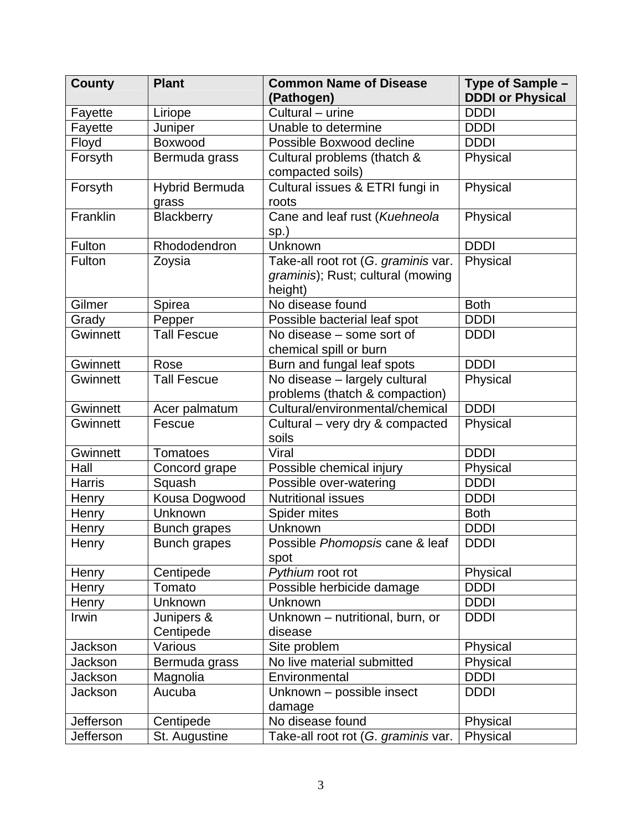| <b>County</b>   | <b>Plant</b>                   | <b>Common Name of Disease</b><br>(Pathogen)                                         | Type of Sample -<br><b>DDDI or Physical</b> |
|-----------------|--------------------------------|-------------------------------------------------------------------------------------|---------------------------------------------|
| Fayette         | Liriope                        | Cultural - urine                                                                    | <b>DDDI</b>                                 |
| Fayette         | Juniper                        | Unable to determine                                                                 | <b>DDDI</b>                                 |
| Floyd           | Boxwood                        | Possible Boxwood decline                                                            | <b>DDDI</b>                                 |
| Forsyth         | Bermuda grass                  | Cultural problems (thatch &<br>compacted soils)                                     | Physical                                    |
| Forsyth         | <b>Hybrid Bermuda</b><br>grass | Cultural issues & ETRI fungi in<br>roots                                            | Physical                                    |
| Franklin        | Blackberry                     | Cane and leaf rust (Kuehneola<br>sp.)                                               | Physical                                    |
| Fulton          | Rhododendron                   | Unknown                                                                             | <b>DDDI</b>                                 |
| Fulton          | Zoysia                         | Take-all root rot (G. graminis var.<br>graminis); Rust; cultural (mowing<br>height) | Physical                                    |
| Gilmer          | Spirea                         | No disease found                                                                    | <b>Both</b>                                 |
| Grady           | Pepper                         | Possible bacterial leaf spot                                                        | <b>DDDI</b>                                 |
| Gwinnett        | <b>Tall Fescue</b>             | No disease – some sort of<br>chemical spill or burn                                 | <b>DDDI</b>                                 |
| <b>Gwinnett</b> | Rose                           | Burn and fungal leaf spots                                                          | <b>DDDI</b>                                 |
| Gwinnett        | <b>Tall Fescue</b>             | No disease - largely cultural<br>problems (thatch & compaction)                     | Physical                                    |
| Gwinnett        | Acer palmatum                  | Cultural/environmental/chemical                                                     | <b>DDDI</b>                                 |
| Gwinnett        | Fescue                         | Cultural – very dry & compacted<br>soils                                            | Physical                                    |
| Gwinnett        | <b>Tomatoes</b>                | Viral                                                                               | <b>DDDI</b>                                 |
| Hall            | Concord grape                  | Possible chemical injury                                                            | Physical                                    |
| <b>Harris</b>   | Squash                         | Possible over-watering                                                              | <b>DDDI</b>                                 |
| Henry           | Kousa Dogwood                  | <b>Nutritional issues</b>                                                           | <b>DDDI</b>                                 |
| Henry           | Unknown                        | Spider mites                                                                        | <b>Both</b>                                 |
| Henry           | <b>Bunch grapes</b>            | Unknown                                                                             | <b>DDDI</b>                                 |
| Henry           | <b>Bunch grapes</b>            | Possible Phomopsis cane & leaf<br>spot                                              | <b>DDDI</b>                                 |
| Henry           | Centipede                      | Pythium root rot                                                                    | Physical                                    |
| Henry           | Tomato                         | Possible herbicide damage                                                           | <b>DDDI</b>                                 |
| Henry           | Unknown                        | Unknown                                                                             | <b>DDDI</b>                                 |
| Irwin           | Junipers &<br>Centipede        | Unknown - nutritional, burn, or<br>disease                                          | <b>DDDI</b>                                 |
| <b>Jackson</b>  | Various                        | Site problem                                                                        | Physical                                    |
| Jackson         | Bermuda grass                  | No live material submitted                                                          | Physical                                    |
| Jackson         | Magnolia                       | Environmental                                                                       | <b>DDDI</b>                                 |
| Jackson         | Aucuba                         | Unknown - possible insect<br>damage                                                 | <b>DDDI</b>                                 |
| Jefferson       | Centipede                      | No disease found                                                                    | Physical                                    |
| Jefferson       | St. Augustine                  | Take-all root rot (G. graminis var.                                                 | Physical                                    |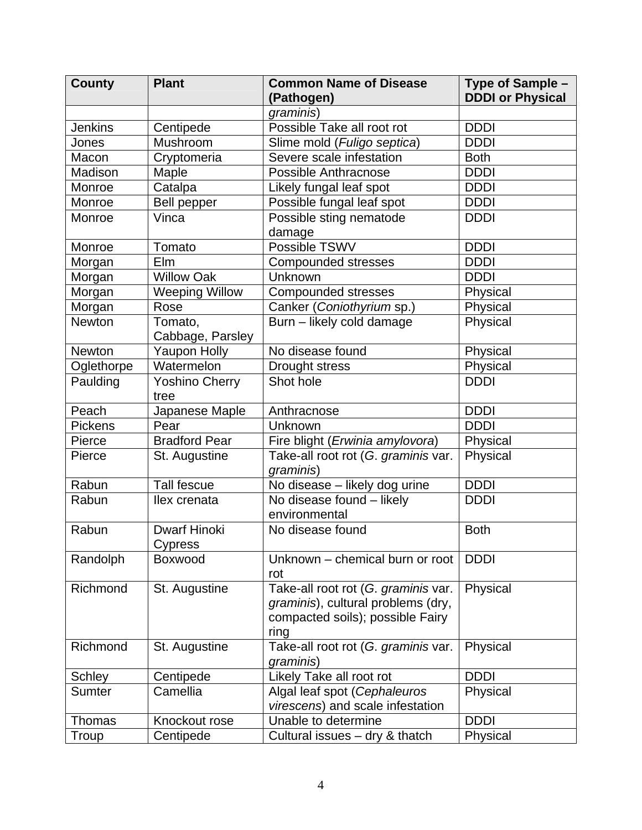| <b>County</b>  | <b>Plant</b>                          | <b>Common Name of Disease</b><br>(Pathogen)                                                                           | Type of Sample -<br><b>DDDI or Physical</b> |
|----------------|---------------------------------------|-----------------------------------------------------------------------------------------------------------------------|---------------------------------------------|
|                |                                       | graminis)                                                                                                             |                                             |
| <b>Jenkins</b> | Centipede                             | Possible Take all root rot                                                                                            | <b>DDDI</b>                                 |
| Jones          | Mushroom                              | Slime mold (Fuligo septica)                                                                                           | <b>DDDI</b>                                 |
| Macon          | Cryptomeria                           | Severe scale infestation                                                                                              | <b>Both</b>                                 |
| Madison        | Maple                                 | Possible Anthracnose                                                                                                  | <b>DDDI</b>                                 |
| Monroe         | Catalpa                               | Likely fungal leaf spot                                                                                               | <b>DDDI</b>                                 |
| Monroe         | <b>Bell pepper</b>                    | Possible fungal leaf spot                                                                                             | <b>DDDI</b>                                 |
| Monroe         | Vinca                                 | Possible sting nematode<br>damage                                                                                     | <b>DDDI</b>                                 |
| Monroe         | Tomato                                | Possible TSWV                                                                                                         | <b>DDDI</b>                                 |
| Morgan         | Elm                                   | <b>Compounded stresses</b>                                                                                            | <b>DDDI</b>                                 |
| Morgan         | <b>Willow Oak</b>                     | Unknown                                                                                                               | <b>DDDI</b>                                 |
| Morgan         | <b>Weeping Willow</b>                 | <b>Compounded stresses</b>                                                                                            | Physical                                    |
| Morgan         | Rose                                  | Canker (Coniothyrium sp.)                                                                                             | Physical                                    |
| <b>Newton</b>  | Tomato,<br>Cabbage, Parsley           | Burn - likely cold damage                                                                                             | Physical                                    |
| <b>Newton</b>  | <b>Yaupon Holly</b>                   | No disease found                                                                                                      | Physical                                    |
| Oglethorpe     | Watermelon                            | Drought stress                                                                                                        | Physical                                    |
| Paulding       | <b>Yoshino Cherry</b><br>tree         | Shot hole                                                                                                             | <b>DDDI</b>                                 |
| Peach          | Japanese Maple                        | Anthracnose                                                                                                           | <b>DDDI</b>                                 |
| <b>Pickens</b> | Pear                                  | Unknown                                                                                                               | <b>DDDI</b>                                 |
| Pierce         | <b>Bradford Pear</b>                  | Fire blight (Erwinia amylovora)                                                                                       | Physical                                    |
| Pierce         | St. Augustine                         | Take-all root rot (G. graminis var.<br>graminis)                                                                      | Physical                                    |
| Rabun          | <b>Tall fescue</b>                    | No disease - likely dog urine                                                                                         | <b>DDDI</b>                                 |
| Rabun          | llex crenata                          | No disease found - likely<br>environmental                                                                            | <b>DDDI</b>                                 |
| Rabun          | <b>Dwarf Hinoki</b><br><b>Cypress</b> | No disease found                                                                                                      | <b>Both</b>                                 |
| Randolph       | <b>Boxwood</b>                        | Unknown - chemical burn or root<br>rot                                                                                | <b>DDDI</b>                                 |
| Richmond       | St. Augustine                         | Take-all root rot (G. graminis var.<br>graminis), cultural problems (dry,<br>compacted soils); possible Fairy<br>ring | Physical                                    |
| Richmond       | St. Augustine                         | Take-all root rot (G. graminis var.<br>graminis)                                                                      | Physical                                    |
| Schley         | Centipede                             | Likely Take all root rot                                                                                              | <b>DDDI</b>                                 |
| <b>Sumter</b>  | Camellia                              | Algal leaf spot (Cephaleuros<br>virescens) and scale infestation                                                      | Physical                                    |
| Thomas         | Knockout rose                         | Unable to determine                                                                                                   | <b>DDDI</b>                                 |
| Troup          | Centipede                             | Cultural issues - dry & thatch                                                                                        | Physical                                    |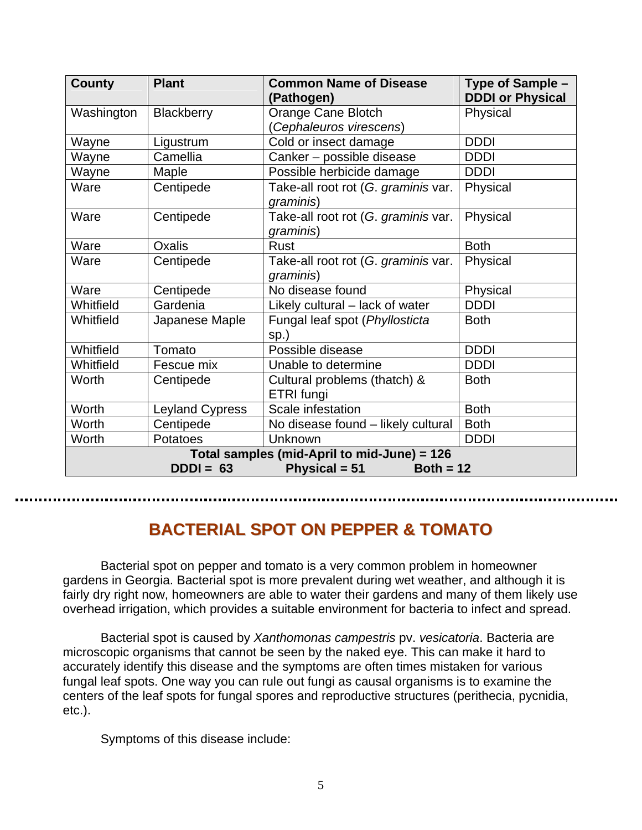| <b>County</b>                               | <b>Plant</b>           | <b>Common Name of Disease</b><br>(Pathogen) | Type of Sample -<br><b>DDDI or Physical</b> |
|---------------------------------------------|------------------------|---------------------------------------------|---------------------------------------------|
| Washington                                  | <b>Blackberry</b>      | Orange Cane Blotch                          | Physical                                    |
|                                             |                        | (Cephaleuros virescens)                     |                                             |
| Wayne                                       | Ligustrum              | Cold or insect damage                       | <b>DDDI</b>                                 |
| Wayne                                       | Camellia               | Canker - possible disease                   | <b>DDDI</b>                                 |
| Wayne                                       | Maple                  | Possible herbicide damage                   | <b>DDDI</b>                                 |
| Ware                                        | Centipede              | Take-all root rot (G. graminis var.         | Physical                                    |
|                                             |                        | graminis)                                   |                                             |
| Ware                                        | Centipede              | Take-all root rot (G. graminis var.         | Physical                                    |
|                                             |                        | graminis)                                   |                                             |
| Ware                                        | <b>Oxalis</b>          | <b>Rust</b>                                 | <b>Both</b>                                 |
| Ware                                        | Centipede              | Take-all root rot (G. graminis var.         | Physical                                    |
|                                             |                        | graminis)                                   |                                             |
| Ware                                        | Centipede              | No disease found                            | Physical                                    |
| Whitfield                                   | Gardenia               | Likely cultural - lack of water             | <b>DDDI</b>                                 |
| Whitfield                                   | Japanese Maple         | Fungal leaf spot (Phyllosticta              | <b>Both</b>                                 |
|                                             |                        | sp.)                                        |                                             |
| Whitfield                                   | Tomato                 | Possible disease                            | <b>DDDI</b>                                 |
| Whitfield                                   | Fescue mix             | Unable to determine                         | <b>DDDI</b>                                 |
| Worth                                       | Centipede              | Cultural problems (thatch) &                | <b>Both</b>                                 |
|                                             |                        | ETRI fungi                                  |                                             |
| Worth                                       | <b>Leyland Cypress</b> | Scale infestation                           | <b>Both</b>                                 |
| Worth                                       | Centipede              | No disease found - likely cultural          | <b>Both</b>                                 |
| Worth                                       | Potatoes               | Unknown                                     | <b>DDDI</b>                                 |
| Total samples (mid-April to mid-June) = 126 |                        |                                             |                                             |
| Physical = 51<br>$DDDI = 63$<br>Both = $12$ |                        |                                             |                                             |

## **BACTERIAL SPOT ON PEPPER & TOMATO**

Bacterial spot on pepper and tomato is a very common problem in homeowner gardens in Georgia. Bacterial spot is more prevalent during wet weather, and although it is fairly dry right now, homeowners are able to water their gardens and many of them likely use overhead irrigation, which provides a suitable environment for bacteria to infect and spread.

Bacterial spot is caused by *Xanthomonas campestris* pv. *vesicatoria*. Bacteria are microscopic organisms that cannot be seen by the naked eye. This can make it hard to accurately identify this disease and the symptoms are often times mistaken for various fungal leaf spots. One way you can rule out fungi as causal organisms is to examine the centers of the leaf spots for fungal spores and reproductive structures (perithecia, pycnidia, etc.).

Symptoms of this disease include: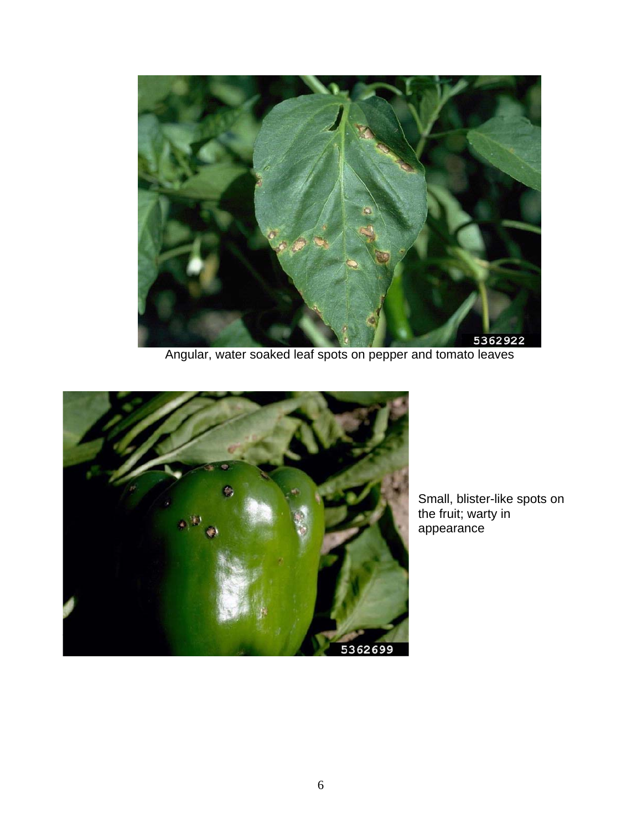

Angular, water soaked leaf spots on pepper and tomato leaves



Small, blister-like spots on the fruit; warty in appearance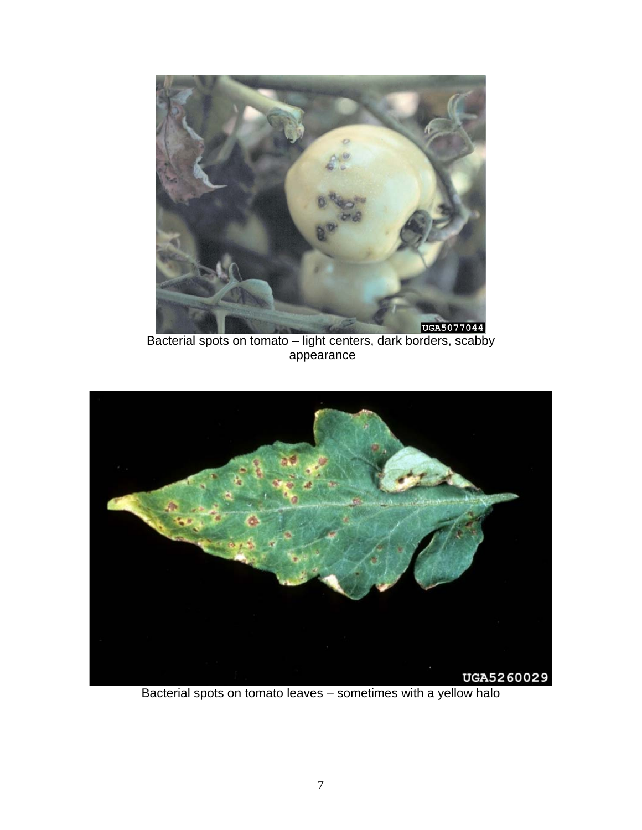

Bacterial spots on tomato – light centers, dark borders, scabby appearance



Bacterial spots on tomato leaves – sometimes with a yellow halo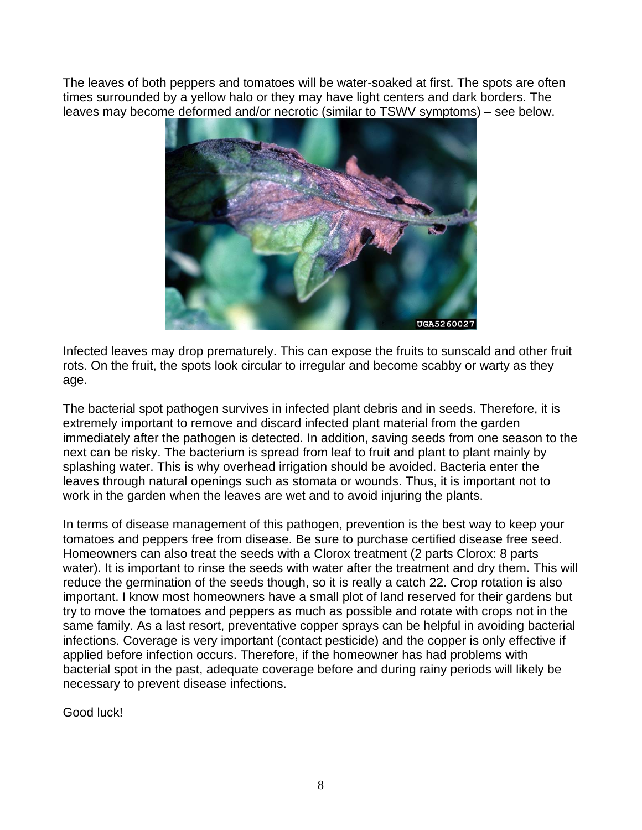The leaves of both peppers and tomatoes will be water-soaked at first. The spots are often times surrounded by a yellow halo or they may have light centers and dark borders. The leaves may become deformed and/or necrotic (similar to TSWV symptoms) – see below.



Infected leaves may drop prematurely. This can expose the fruits to sunscald and other fruit rots. On the fruit, the spots look circular to irregular and become scabby or warty as they age.

The bacterial spot pathogen survives in infected plant debris and in seeds. Therefore, it is extremely important to remove and discard infected plant material from the garden immediately after the pathogen is detected. In addition, saving seeds from one season to the next can be risky. The bacterium is spread from leaf to fruit and plant to plant mainly by splashing water. This is why overhead irrigation should be avoided. Bacteria enter the leaves through natural openings such as stomata or wounds. Thus, it is important not to work in the garden when the leaves are wet and to avoid injuring the plants.

In terms of disease management of this pathogen, prevention is the best way to keep your tomatoes and peppers free from disease. Be sure to purchase certified disease free seed. Homeowners can also treat the seeds with a Clorox treatment (2 parts Clorox: 8 parts water). It is important to rinse the seeds with water after the treatment and dry them. This will reduce the germination of the seeds though, so it is really a catch 22. Crop rotation is also important. I know most homeowners have a small plot of land reserved for their gardens but try to move the tomatoes and peppers as much as possible and rotate with crops not in the same family. As a last resort, preventative copper sprays can be helpful in avoiding bacterial infections. Coverage is very important (contact pesticide) and the copper is only effective if applied before infection occurs. Therefore, if the homeowner has had problems with bacterial spot in the past, adequate coverage before and during rainy periods will likely be necessary to prevent disease infections.

Good luck!